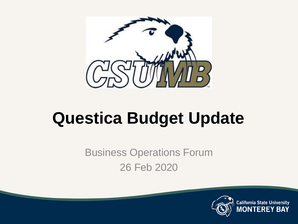

## **Questica Budget Update**

Business Operations Forum 26 Feb 2020

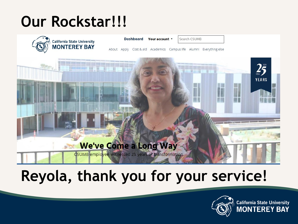#### **Our Rockstar!!!**



Dashboard Your account v

Search CSUMB

About Apply Cost & aid Academics Campus life Alumni Everything else



#### **Reyola, thank you for your service!**

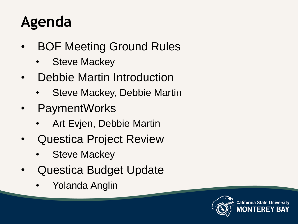#### **Agenda**

- **BOF Meeting Ground Rules** 
	- **Steve Mackey**
- Debbie Martin Introduction
	- Steve Mackey, Debbie Martin
- PaymentWorks
	- Art Evjen, Debbie Martin
- Questica Project Review
	- **Steve Mackey**
- Questica Budget Update
	- Yolanda Anglin

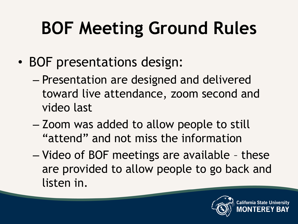# **BOF Meeting Ground Rules**

- BOF presentations design:
	- Presentation are designed and delivered toward live attendance, zoom second and video last
	- Zoom was added to allow people to still "attend" and not miss the information
	- Video of BOF meetings are available these are provided to allow people to go back and listen in.



California State Un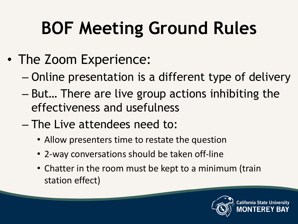# **BOF Meeting Ground Rules**

- The Zoom Experience:
	- Online presentation is a different type of delivery
	- But… There are live group actions inhibiting the effectiveness and usefulness
	- The Live attendees need to:
		- Allow presenters time to restate the question
		- 2-way conversations should be taken off-line
		- Chatter in the room must be kept to a minimum (train station effect)



`alifornia State U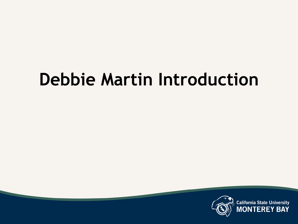## **Debbie Martin Introduction**

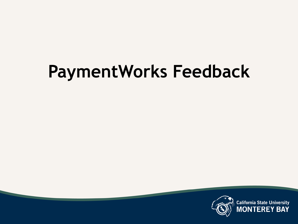# **PaymentWorks Feedback**

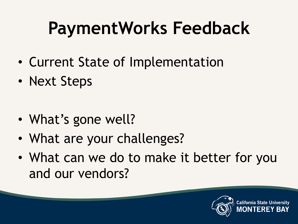# **PaymentWorks Feedback**

- Current State of Implementation
- Next Steps
- What's gone well?
- What are your challenges?
- What can we do to make it better for you and our vendors?



alifornia State U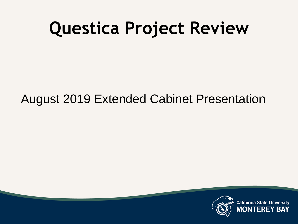# **Questica Project Review**

#### August 2019 Extended Cabinet Presentation

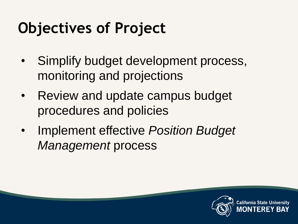#### **Objectives of Project**

- Simplify budget development process, monitoring and projections
- Review and update campus budget procedures and policies
- Implement effective *Position Budget Management* process



California State Un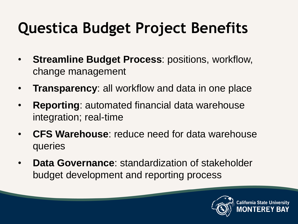### **Questica Budget Project Benefits**

- **Streamline Budget Process**: positions, workflow, change management
- **Transparency**: all workflow and data in one place
- **Reporting:** automated financial data warehouse integration; real-time
- **CFS Warehouse**: reduce need for data warehouse queries
- **Data Governance**: standardization of stakeholder budget development and reporting process

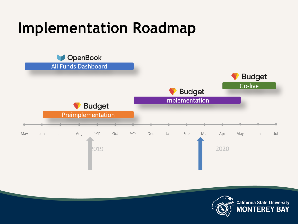#### **Implementation Roadmap**



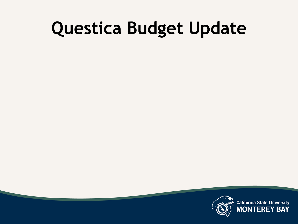# **Questica Budget Update**

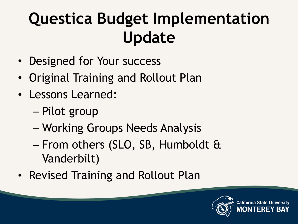## **Questica Budget Implementation Update**

- Designed for Your success
- Original Training and Rollout Plan
- Lessons Learned:
	- Pilot group
	- Working Groups Needs Analysis
	- From others (SLO, SB, Humboldt & Vanderbilt)
- Revised Training and Rollout Plan



**California State Un**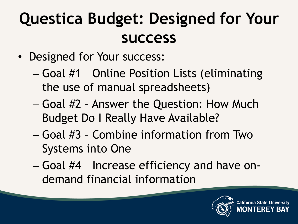## **Questica Budget: Designed for Your success**

- Designed for Your success:
	- Goal #1 Online Position Lists (eliminating the use of manual spreadsheets)
	- Goal #2 Answer the Question: How Much Budget Do I Really Have Available?
	- Goal #3 Combine information from Two Systems into One
	- Goal #4 Increase efficiency and have ondemand financial information



California State U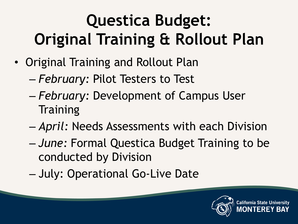# **Questica Budget: Original Training & Rollout Plan**

- Original Training and Rollout Plan
	- *February:* Pilot Testers to Test
	- *February:* Development of Campus User **Training**
	- *April:* Needs Assessments with each Division
	- *June:* Formal Questica Budget Training to be conducted by Division
	- July: Operational Go-Live Date



**California State U**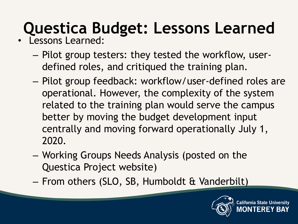# **Questica Budget: Lessons Learned**

- Lessons Learned:
	- Pilot group testers: they tested the workflow, userdefined roles, and critiqued the training plan.
	- Pilot group feedback: workflow/user-defined roles are operational. However, the complexity of the system related to the training plan would serve the campus better by moving the budget development input centrally and moving forward operationally July 1, 2020.
	- Working Groups Needs Analysis (posted on the Questica Project website)
	- From others (SLO, SB, Humboldt & Vanderbilt)

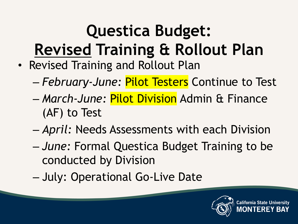# **Questica Budget: Revised Training & Rollout Plan**

- Revised Training and Rollout Plan
	- *February-June:* Pilot Testers Continue to Test
	- *March-June:* Pilot Division Admin & Finance (AF) to Test
	- *April:* Needs Assessments with each Division
	- *June:* Formal Questica Budget Training to be conducted by Division
	- July: Operational Go-Live Date

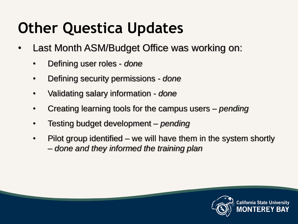#### **Other Questica Updates**

- Last Month ASM/Budget Office was working on:
	- Defining user roles *done*
	- Defining security permissions *- done*
	- Validating salary information *- done*
	- Creating learning tools for the campus users *– pending*
	- Testing budget development *– pending*
	- Pilot group identified we will have them in the system shortly – *done and they informed the training plan*

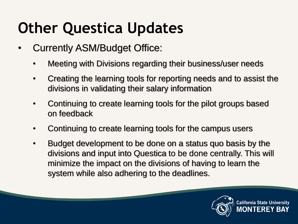#### **Other Questica Updates**

- Currently ASM/Budget Office:
	- Meeting with Divisions regarding their business/user needs
	- Creating the learning tools for reporting needs and to assist the divisions in validating their salary information
	- Continuing to create learning tools for the pilot groups based on feedback
	- Continuing to create learning tools for the campus users
	- Budget development to be done on a status quo basis by the divisions and input into Questica to be done centrally. This will minimize the impact on the divisions of having to learn the system while also adhering to the deadlines.